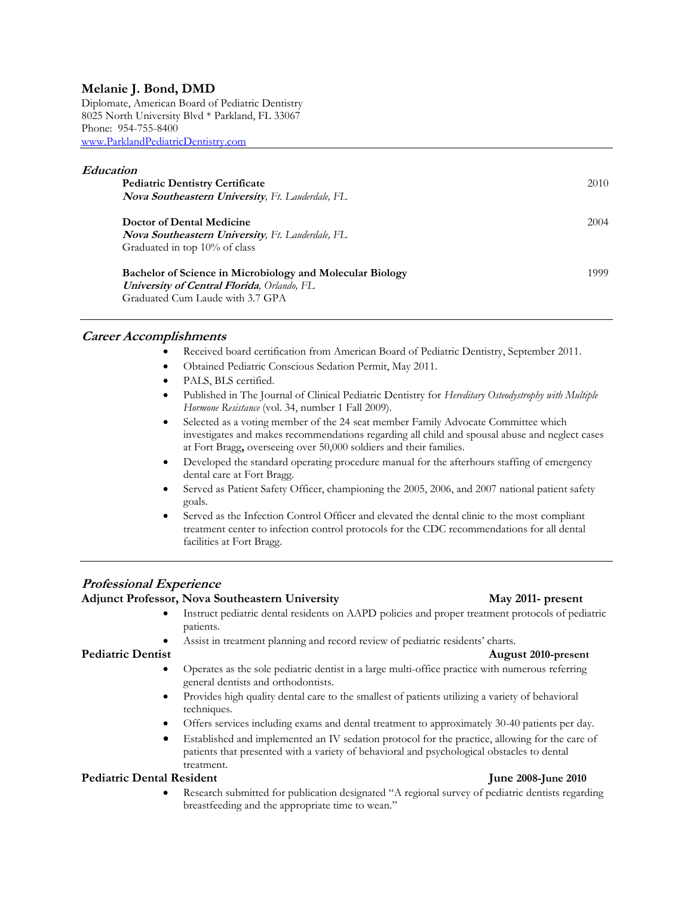# **Melanie J. Bond, DMD**

Diplomate, American Board of Pediatric Dentistry 8025 North University Blvd \* Parkland, FL 33067 Phone: 954-755-8400 [www.ParklandPediatricDentistry.com](http://www.parklandpediatricdentistry.com/)

#### **Education**

| <b>Pediatric Dentistry Certificate</b>                    | 2010 |
|-----------------------------------------------------------|------|
| Nova Southeastern University, Ft. Lauderdale, FL          |      |
| Doctor of Dental Medicine                                 | 2004 |
| <b>Nova Southeastern University, Ft. Lauderdale, FL</b>   |      |
| Graduated in top 10% of class                             |      |
| Bachelor of Science in Microbiology and Molecular Biology | 1999 |
| <b>University of Central Florida</b> , Orlando, FL        |      |
| Graduated Cum Laude with 3.7 GPA                          |      |

#### **Career Accomplishments**

- Received board certification from American Board of Pediatric Dentistry, September 2011.
- Obtained Pediatric Conscious Sedation Permit, May 2011.
- PALS, BLS certified.
- Published in The Journal of Clinical Pediatric Dentistry for *Hereditary Osteodystrophy with Multiple Hormone Resistance* (vol. 34, number 1 Fall 2009).
- Selected as a voting member of the 24 seat member Family Advocate Committee which investigates and makes recommendations regarding all child and spousal abuse and neglect cases at Fort Bragg**,** overseeing over 50,000 soldiers and their families.
- Developed the standard operating procedure manual for the afterhours staffing of emergency dental care at Fort Bragg.
- Served as Patient Safety Officer, championing the 2005, 2006, and 2007 national patient safety goals.
- Served as the Infection Control Officer and elevated the dental clinic to the most compliant treatment center to infection control protocols for the CDC recommendations for all dental facilities at Fort Bragg.

# **Professional Experience**

### **Adjunct Professor, Nova Southeastern University May 2011- present**

- Instruct pediatric dental residents on AAPD policies and proper treatment protocols of pediatric patients.
- Assist in treatment planning and record review of pediatric residents' charts.

### **Pediatric Dentist August 2010-present**

- Operates as the sole pediatric dentist in a large multi-office practice with numerous referring general dentists and orthodontists.
- Provides high quality dental care to the smallest of patients utilizing a variety of behavioral techniques.
- Offers services including exams and dental treatment to approximately 30-40 patients per day.
- Established and implemented an IV sedation protocol for the practice, allowing for the care of patients that presented with a variety of behavioral and psychological obstacles to dental treatment.

#### Pediatric Dental Resident **June 2008-June 2010**

 Research submitted for publication designated "A regional survey of pediatric dentists regarding breastfeeding and the appropriate time to wean."